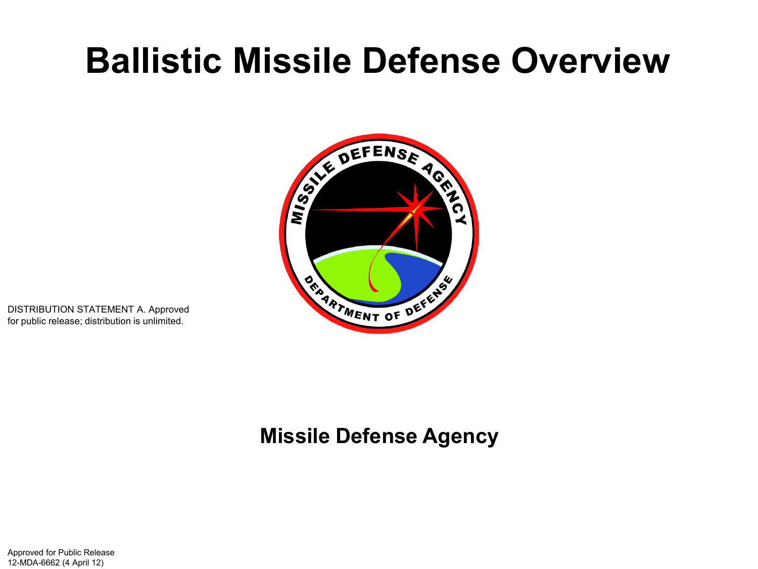# **Ballistic Missile Defense Overview**



DISTRIBUTION STATEMENT A. Approved for public release; distribution is unlimited.

### **Missile Defense Agency**

Approved for Public Release 12-MDA-6662 (4 April 12)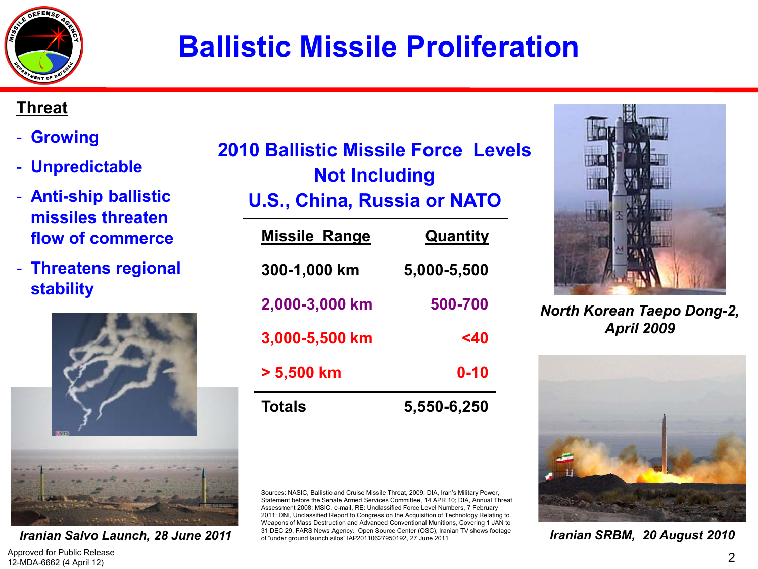

## **Ballistic Missile Proliferation**

#### **Threat**

- **Growing**
- **Unpredictable**
- **Anti-ship ballistic missiles threaten flow of commerce**
- **Threatens regional stability**



Approved for Public Release 12-MDA-6662 (4 April 12)

| 2010 Ballistic Missile Force Levels |  |  |
|-------------------------------------|--|--|
| <b>Not Including</b>                |  |  |

### **U.S., China, Russia or NATO**

| <b>Totals</b>        | 5,550-6,250     |
|----------------------|-----------------|
| $> 5,500$ km         | $0 - 10$        |
| 3,000-5,500 km       | <40             |
| 2,000-3,000 km       | 500-700         |
| 300-1,000 km         | 5,000-5,500     |
| <b>Missile Range</b> | <b>Quantity</b> |

Sources: NASIC, Ballistic and Cruise Missile Threat, 2009; DIA, Iran's Military Power, Statement before the Senate Armed Services Committee, 14 APR 10; DIA, Annual Threat Assessment 2008; MSIC, e-mail, RE: Unclassified Force Level Numbers, 7 February 2011; DNI, Unclassified Report to Congress on the Acquisition of Technology Relating to Weapons of Mass Destruction and Advanced Conventional Munitions, Covering 1 JAN to 31 DEC 29, FARS News Agency. Open Source Center (OSC), Iranian TV shows footage of "under ground launch silos" IAP20110627950192, 27 June 2011 *Iranian Salvo Launch*, 28 June 2011 *I*<sub>g</sub> 31 DEC 29, FARS News Agency. Open Source Center (OSC), Iranian TV shows footage **Iranian SRBM, 20 August 2010** 



*North Korean Taepo Dong-2, April 2009*



2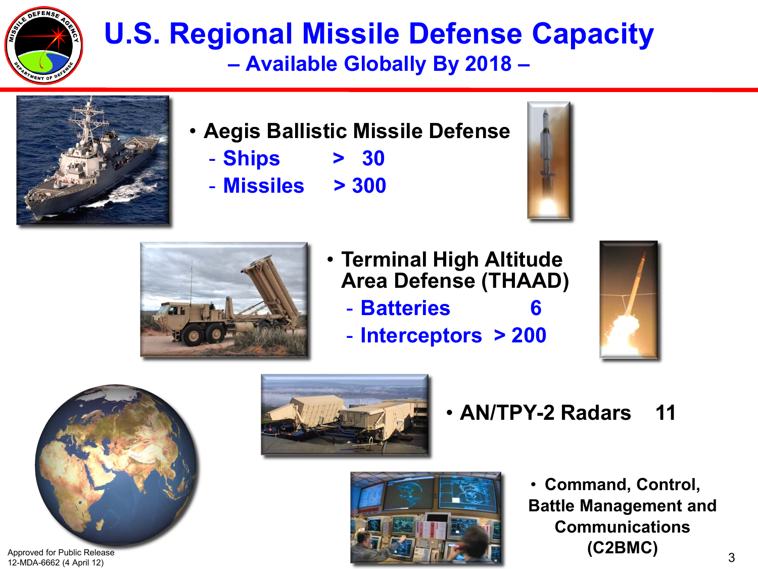

### **U.S. Regional Missile Defense Capacity – Available Globally By 2018 –**



- **Aegis Ballistic Missile Defense** 
	- **Ships > 30**
	- **Missiles > 300**





- **Terminal High Altitude Area Defense (THAAD)**
	- **Batteries 6**
	- **Interceptors > 200**





Approved for Public Release 12-MDA-6662 (4 April 12)



• **AN/TPY-2 Radars 11**



• **Command, Control, Battle Management and Communications (C2BMC)**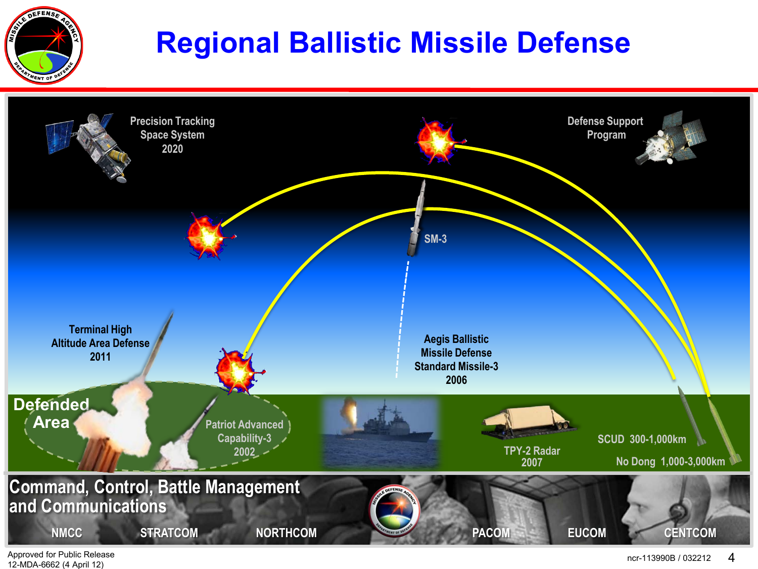

## **Regional Ballistic Missile Defense**



Approved for Public Release 12-MDA-6662 (4 April 12)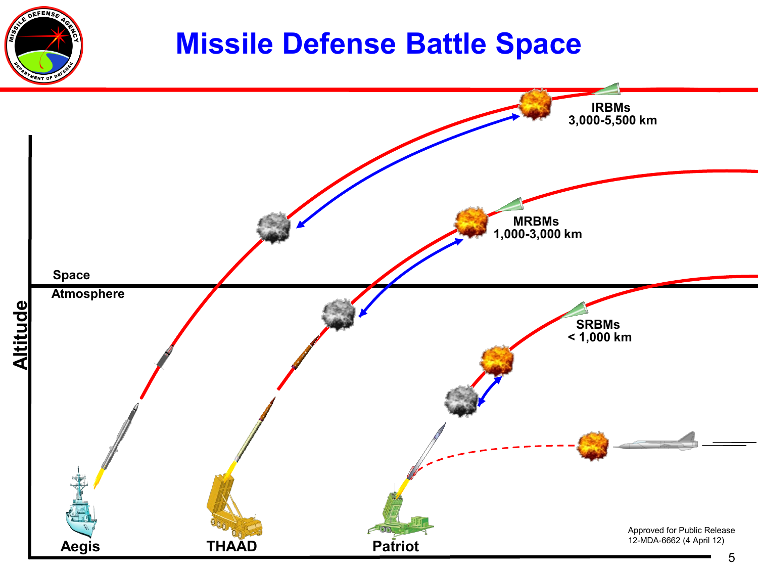### **Missile Defense Battle Space**

EFEN

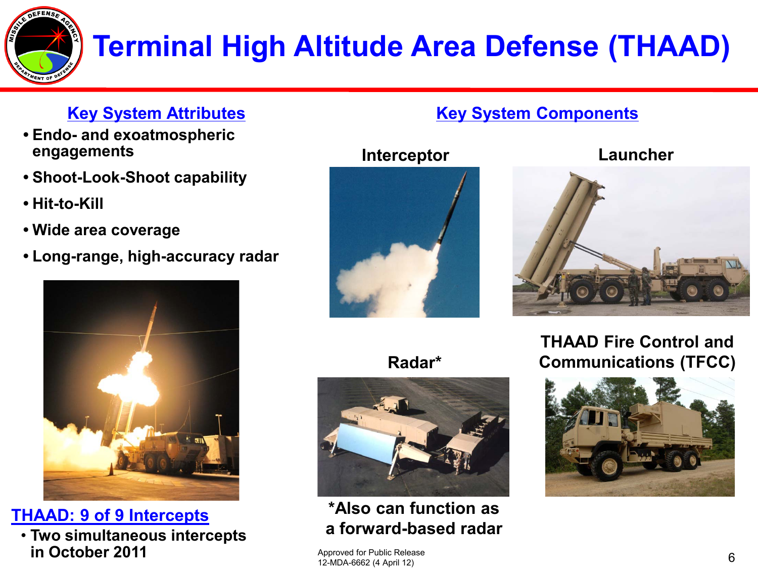

# **Terminal High Altitude Area Defense (THAAD)**

### **Key System Attributes**

- **• Endo- and exoatmospheric engagements**
- **• Shoot-Look-Shoot capability**
- **• Hit-to-Kill**
- **• Wide area coverage**
- **• Long-range, high-accuracy radar**



**THAAD: 9 of 9 Intercepts**

• **Two simultaneous intercepts in October 2011** 



#### **Interceptor**



#### **Launcher**



### **Radar\***

**\*Also can function as a forward-based radar**

**THAAD Fire Control and Communications (TFCC)**



Approved for Public Release 12-MDA-6662 (4 April 12)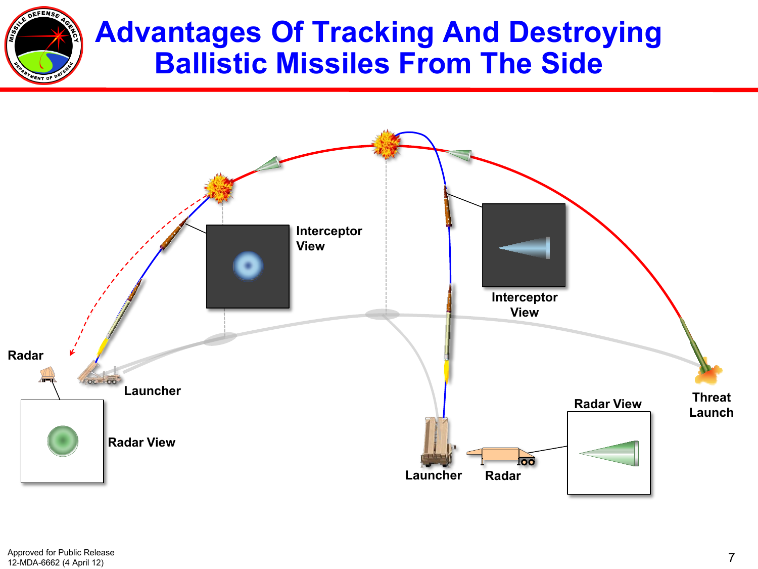

### **Advantages Of Tracking And Destroying Ballistic Missiles From The Side**